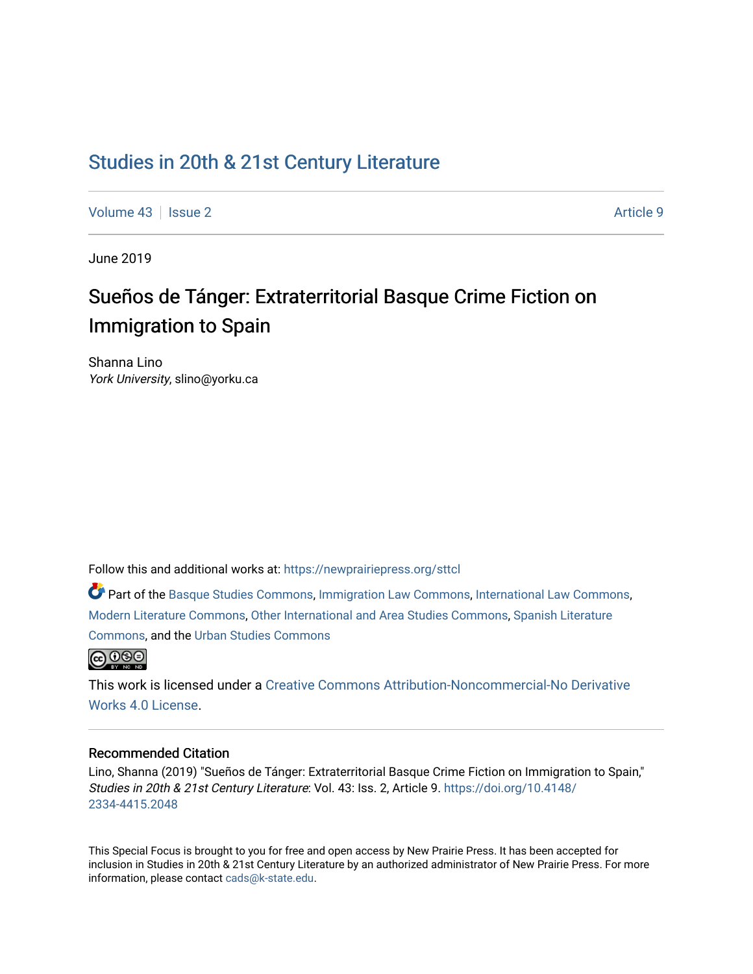# [Studies in 20th & 21st Century Literature](https://newprairiepress.org/sttcl)

[Volume 43](https://newprairiepress.org/sttcl/vol43) | [Issue 2](https://newprairiepress.org/sttcl/vol43/iss2) Article 9

June 2019

# Sueños de Tánger: Extraterritorial Basque Crime Fiction on Immigration to Spain

Shanna Lino York University, slino@yorku.ca

Follow this and additional works at: [https://newprairiepress.org/sttcl](https://newprairiepress.org/sttcl?utm_source=newprairiepress.org%2Fsttcl%2Fvol43%2Fiss2%2F9&utm_medium=PDF&utm_campaign=PDFCoverPages) 

Part of the [Basque Studies Commons,](http://network.bepress.com/hgg/discipline/1244?utm_source=newprairiepress.org%2Fsttcl%2Fvol43%2Fiss2%2F9&utm_medium=PDF&utm_campaign=PDFCoverPages) [Immigration Law Commons,](http://network.bepress.com/hgg/discipline/604?utm_source=newprairiepress.org%2Fsttcl%2Fvol43%2Fiss2%2F9&utm_medium=PDF&utm_campaign=PDFCoverPages) [International Law Commons](http://network.bepress.com/hgg/discipline/609?utm_source=newprairiepress.org%2Fsttcl%2Fvol43%2Fiss2%2F9&utm_medium=PDF&utm_campaign=PDFCoverPages), [Modern Literature Commons,](http://network.bepress.com/hgg/discipline/1050?utm_source=newprairiepress.org%2Fsttcl%2Fvol43%2Fiss2%2F9&utm_medium=PDF&utm_campaign=PDFCoverPages) [Other International and Area Studies Commons](http://network.bepress.com/hgg/discipline/365?utm_source=newprairiepress.org%2Fsttcl%2Fvol43%2Fiss2%2F9&utm_medium=PDF&utm_campaign=PDFCoverPages), [Spanish Literature](http://network.bepress.com/hgg/discipline/550?utm_source=newprairiepress.org%2Fsttcl%2Fvol43%2Fiss2%2F9&utm_medium=PDF&utm_campaign=PDFCoverPages) [Commons](http://network.bepress.com/hgg/discipline/550?utm_source=newprairiepress.org%2Fsttcl%2Fvol43%2Fiss2%2F9&utm_medium=PDF&utm_campaign=PDFCoverPages), and the [Urban Studies Commons](http://network.bepress.com/hgg/discipline/402?utm_source=newprairiepress.org%2Fsttcl%2Fvol43%2Fiss2%2F9&utm_medium=PDF&utm_campaign=PDFCoverPages) 



This work is licensed under a [Creative Commons Attribution-Noncommercial-No Derivative](https://creativecommons.org/licenses/by-nc-nd/4.0/)  [Works 4.0 License](https://creativecommons.org/licenses/by-nc-nd/4.0/).

#### Recommended Citation

Lino, Shanna (2019) "Sueños de Tánger: Extraterritorial Basque Crime Fiction on Immigration to Spain," Studies in 20th & 21st Century Literature: Vol. 43: Iss. 2, Article 9. [https://doi.org/10.4148/](https://doi.org/10.4148/2334-4415.2048) [2334-4415.2048](https://doi.org/10.4148/2334-4415.2048) 

This Special Focus is brought to you for free and open access by New Prairie Press. It has been accepted for inclusion in Studies in 20th & 21st Century Literature by an authorized administrator of New Prairie Press. For more information, please contact [cads@k-state.edu](mailto:cads@k-state.edu).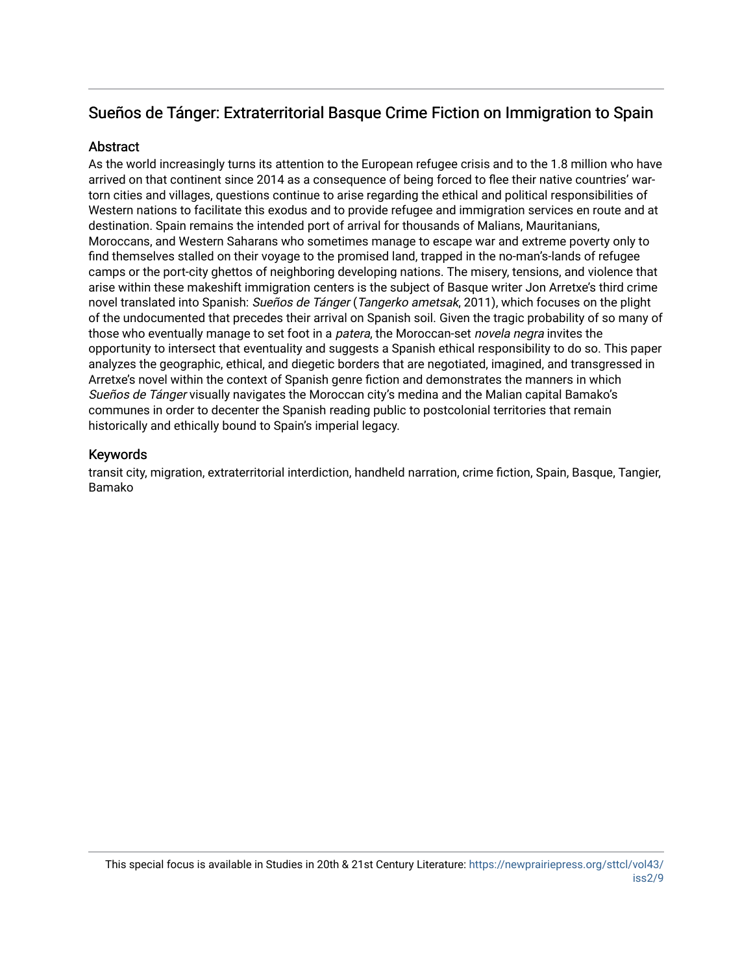# Sueños de Tánger: Extraterritorial Basque Crime Fiction on Immigration to Spain

# Abstract

As the world increasingly turns its attention to the European refugee crisis and to the 1.8 million who have arrived on that continent since 2014 as a consequence of being forced to flee their native countries' wartorn cities and villages, questions continue to arise regarding the ethical and political responsibilities of Western nations to facilitate this exodus and to provide refugee and immigration services en route and at destination. Spain remains the intended port of arrival for thousands of Malians, Mauritanians, Moroccans, and Western Saharans who sometimes manage to escape war and extreme poverty only to find themselves stalled on their voyage to the promised land, trapped in the no-man's-lands of refugee camps or the port-city ghettos of neighboring developing nations. The misery, tensions, and violence that arise within these makeshift immigration centers is the subject of Basque writer Jon Arretxe's third crime novel translated into Spanish: Sueños de Tánger (Tangerko ametsak, 2011), which focuses on the plight of the undocumented that precedes their arrival on Spanish soil. Given the tragic probability of so many of those who eventually manage to set foot in a *patera*, the Moroccan-set *novela negra* invites the opportunity to intersect that eventuality and suggests a Spanish ethical responsibility to do so. This paper analyzes the geographic, ethical, and diegetic borders that are negotiated, imagined, and transgressed in Arretxe's novel within the context of Spanish genre fiction and demonstrates the manners in which Sueños de Tánger visually navigates the Moroccan city's medina and the Malian capital Bamako's communes in order to decenter the Spanish reading public to postcolonial territories that remain historically and ethically bound to Spain's imperial legacy.

# Keywords

transit city, migration, extraterritorial interdiction, handheld narration, crime fiction, Spain, Basque, Tangier, Bamako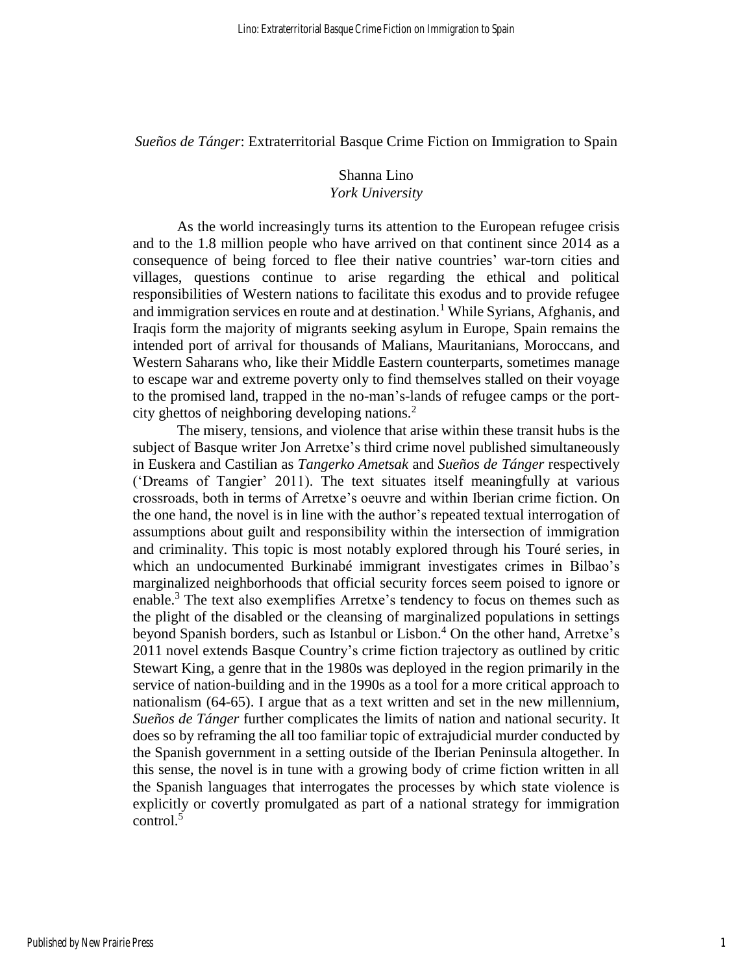*Sueños de Tánger*: Extraterritorial Basque Crime Fiction on Immigration to Spain

# Shanna Lino *York University*

As the world increasingly turns its attention to the European refugee crisis and to the 1.8 million people who have arrived on that continent since 2014 as a consequence of being forced to flee their native countries' war-torn cities and villages, questions continue to arise regarding the ethical and political responsibilities of Western nations to facilitate this exodus and to provide refugee and immigration services en route and at destination.<sup>1</sup> While Syrians, Afghanis, and Iraqis form the majority of migrants seeking asylum in Europe, Spain remains the intended port of arrival for thousands of Malians, Mauritanians, Moroccans, and Western Saharans who, like their Middle Eastern counterparts, sometimes manage to escape war and extreme poverty only to find themselves stalled on their voyage to the promised land, trapped in the no-man's-lands of refugee camps or the portcity ghettos of neighboring developing nations. $2$ 

The misery, tensions, and violence that arise within these transit hubs is the subject of Basque writer Jon Arretxe's third crime novel published simultaneously in Euskera and Castilian as *Tangerko Ametsak* and *Sueños de Tánger* respectively ('Dreams of Tangier' 2011). The text situates itself meaningfully at various crossroads, both in terms of Arretxe's oeuvre and within Iberian crime fiction. On the one hand, the novel is in line with the author's repeated textual interrogation of assumptions about guilt and responsibility within the intersection of immigration and criminality. This topic is most notably explored through his Touré series, in which an undocumented Burkinabé immigrant investigates crimes in Bilbao's marginalized neighborhoods that official security forces seem poised to ignore or enable.<sup>3</sup> The text also exemplifies Arretxe's tendency to focus on themes such as the plight of the disabled or the cleansing of marginalized populations in settings beyond Spanish borders, such as Istanbul or Lisbon. <sup>4</sup> On the other hand, Arretxe's 2011 novel extends Basque Country's crime fiction trajectory as outlined by critic Stewart King, a genre that in the 1980s was deployed in the region primarily in the service of nation-building and in the 1990s as a tool for a more critical approach to nationalism (64-65). I argue that as a text written and set in the new millennium, *Sueños de Tánger* further complicates the limits of nation and national security. It does so by reframing the all too familiar topic of extrajudicial murder conducted by the Spanish government in a setting outside of the Iberian Peninsula altogether. In this sense, the novel is in tune with a growing body of crime fiction written in all the Spanish languages that interrogates the processes by which state violence is explicitly or covertly promulgated as part of a national strategy for immigration  $control<sup>5</sup>$ 

1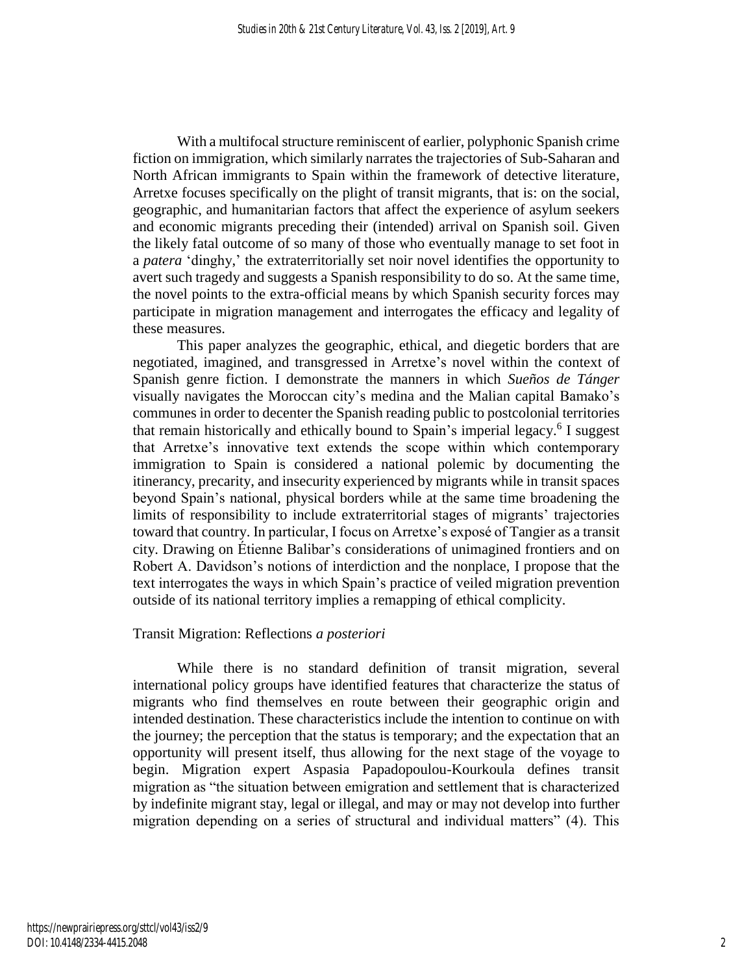With a multifocal structure reminiscent of earlier, polyphonic Spanish crime fiction on immigration, which similarly narrates the trajectories of Sub-Saharan and North African immigrants to Spain within the framework of detective literature, Arretxe focuses specifically on the plight of transit migrants, that is: on the social, geographic, and humanitarian factors that affect the experience of asylum seekers and economic migrants preceding their (intended) arrival on Spanish soil. Given the likely fatal outcome of so many of those who eventually manage to set foot in a *patera* 'dinghy,' the extraterritorially set noir novel identifies the opportunity to avert such tragedy and suggests a Spanish responsibility to do so. At the same time, the novel points to the extra-official means by which Spanish security forces may participate in migration management and interrogates the efficacy and legality of these measures.

This paper analyzes the geographic, ethical, and diegetic borders that are negotiated, imagined, and transgressed in Arretxe's novel within the context of Spanish genre fiction. I demonstrate the manners in which *Sueños de Tánger* visually navigates the Moroccan city's medina and the Malian capital Bamako's communes in order to decenter the Spanish reading public to postcolonial territories that remain historically and ethically bound to Spain's imperial legacy.<sup>6</sup> I suggest that Arretxe's innovative text extends the scope within which contemporary immigration to Spain is considered a national polemic by documenting the itinerancy, precarity, and insecurity experienced by migrants while in transit spaces beyond Spain's national, physical borders while at the same time broadening the limits of responsibility to include extraterritorial stages of migrants' trajectories toward that country. In particular, I focus on Arretxe's exposé of Tangier as a transit city. Drawing on Étienne Balibar's considerations of unimagined frontiers and on Robert A. Davidson's notions of interdiction and the nonplace, I propose that the text interrogates the ways in which Spain's practice of veiled migration prevention outside of its national territory implies a remapping of ethical complicity.

#### Transit Migration: Reflections *a posteriori*

While there is no standard definition of transit migration, several international policy groups have identified features that characterize the status of migrants who find themselves en route between their geographic origin and intended destination. These characteristics include the intention to continue on with the journey; the perception that the status is temporary; and the expectation that an opportunity will present itself, thus allowing for the next stage of the voyage to begin. Migration expert Aspasia Papadopoulou-Kourkoula defines transit migration as "the situation between emigration and settlement that is characterized by indefinite migrant stay, legal or illegal, and may or may not develop into further migration depending on a series of structural and individual matters" (4). This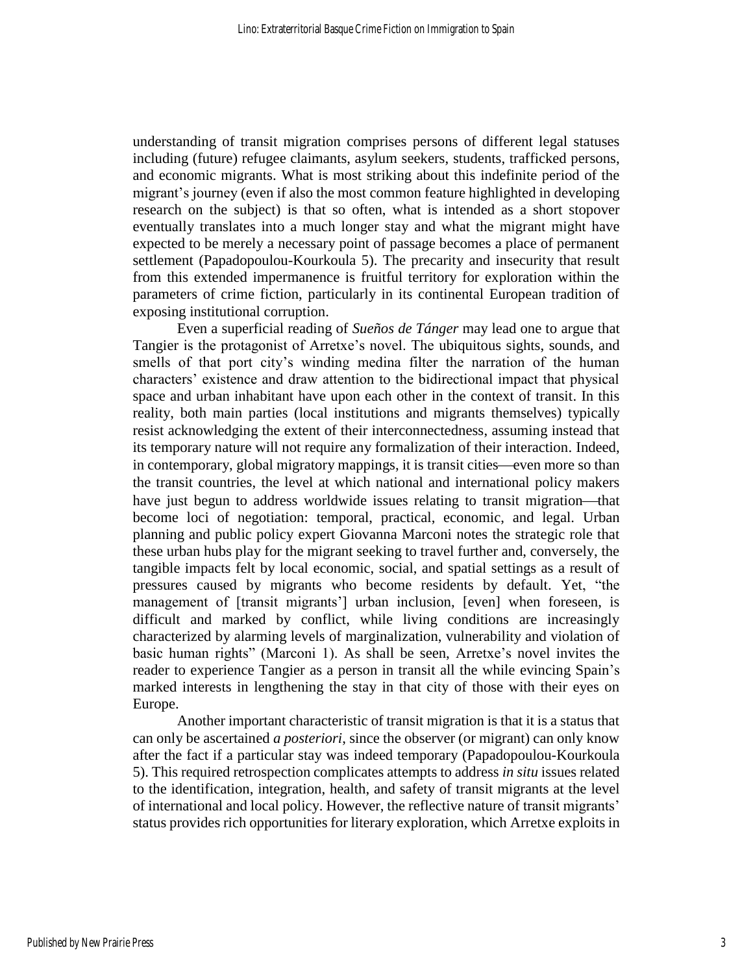understanding of transit migration comprises persons of different legal statuses including (future) refugee claimants, asylum seekers, students, trafficked persons, and economic migrants. What is most striking about this indefinite period of the migrant's journey (even if also the most common feature highlighted in developing research on the subject) is that so often, what is intended as a short stopover eventually translates into a much longer stay and what the migrant might have expected to be merely a necessary point of passage becomes a place of permanent settlement (Papadopoulou-Kourkoula 5). The precarity and insecurity that result from this extended impermanence is fruitful territory for exploration within the parameters of crime fiction, particularly in its continental European tradition of exposing institutional corruption.

Even a superficial reading of *Sueños de Tánger* may lead one to argue that Tangier is the protagonist of Arretxe's novel. The ubiquitous sights, sounds, and smells of that port city's winding medina filter the narration of the human characters' existence and draw attention to the bidirectional impact that physical space and urban inhabitant have upon each other in the context of transit. In this reality, both main parties (local institutions and migrants themselves) typically resist acknowledging the extent of their interconnectedness, assuming instead that its temporary nature will not require any formalization of their interaction. Indeed, in contemporary, global migratory mappings, it is transit cities—even more so than the transit countries, the level at which national and international policy makers have just begun to address worldwide issues relating to transit migration—that become loci of negotiation: temporal, practical, economic, and legal. Urban planning and public policy expert Giovanna Marconi notes the strategic role that these urban hubs play for the migrant seeking to travel further and, conversely, the tangible impacts felt by local economic, social, and spatial settings as a result of pressures caused by migrants who become residents by default. Yet, "the management of [transit migrants'] urban inclusion, [even] when foreseen, is difficult and marked by conflict, while living conditions are increasingly characterized by alarming levels of marginalization, vulnerability and violation of basic human rights" (Marconi 1). As shall be seen, Arretxe's novel invites the reader to experience Tangier as a person in transit all the while evincing Spain's marked interests in lengthening the stay in that city of those with their eyes on Europe.

Another important characteristic of transit migration is that it is a status that can only be ascertained *a posteriori*, since the observer (or migrant) can only know after the fact if a particular stay was indeed temporary (Papadopoulou-Kourkoula 5). This required retrospection complicates attempts to address *in situ* issues related to the identification, integration, health, and safety of transit migrants at the level of international and local policy. However, the reflective nature of transit migrants' status provides rich opportunities for literary exploration, which Arretxe exploits in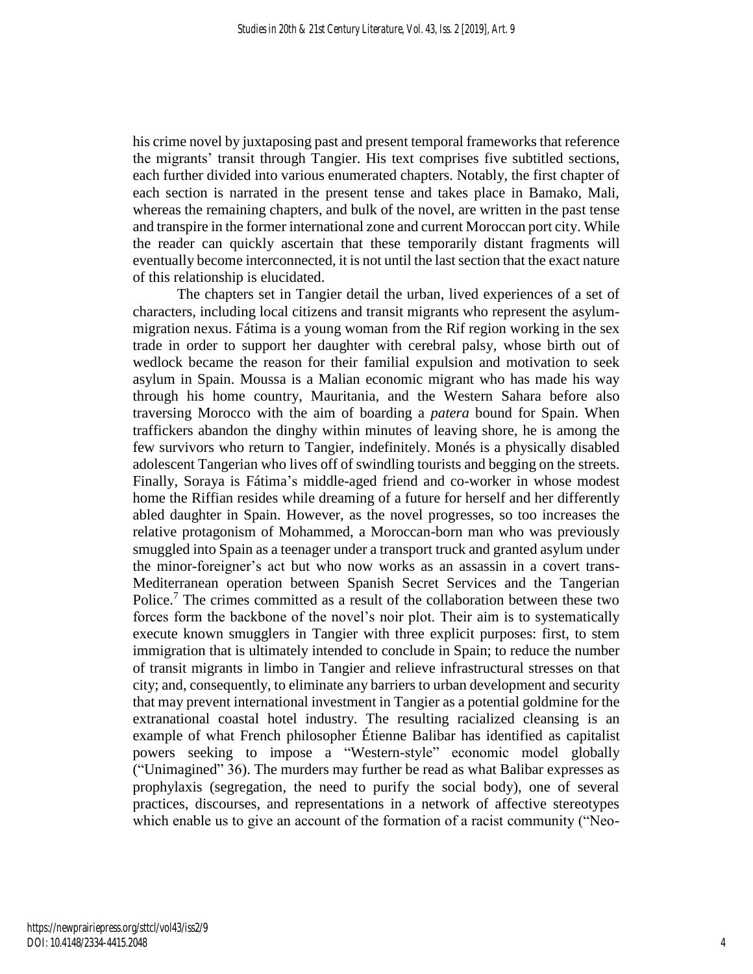his crime novel by juxtaposing past and present temporal frameworks that reference the migrants' transit through Tangier. His text comprises five subtitled sections, each further divided into various enumerated chapters. Notably, the first chapter of each section is narrated in the present tense and takes place in Bamako, Mali, whereas the remaining chapters, and bulk of the novel, are written in the past tense and transpire in the former international zone and current Moroccan port city. While the reader can quickly ascertain that these temporarily distant fragments will eventually become interconnected, it is not until the last section that the exact nature of this relationship is elucidated.

The chapters set in Tangier detail the urban, lived experiences of a set of characters, including local citizens and transit migrants who represent the asylummigration nexus. Fátima is a young woman from the Rif region working in the sex trade in order to support her daughter with cerebral palsy, whose birth out of wedlock became the reason for their familial expulsion and motivation to seek asylum in Spain. Moussa is a Malian economic migrant who has made his way through his home country, Mauritania, and the Western Sahara before also traversing Morocco with the aim of boarding a *patera* bound for Spain. When traffickers abandon the dinghy within minutes of leaving shore, he is among the few survivors who return to Tangier, indefinitely. Monés is a physically disabled adolescent Tangerian who lives off of swindling tourists and begging on the streets. Finally, Soraya is Fátima's middle-aged friend and co-worker in whose modest home the Riffian resides while dreaming of a future for herself and her differently abled daughter in Spain. However, as the novel progresses, so too increases the relative protagonism of Mohammed, a Moroccan-born man who was previously smuggled into Spain as a teenager under a transport truck and granted asylum under the minor-foreigner's act but who now works as an assassin in a covert trans-Mediterranean operation between Spanish Secret Services and the Tangerian Police.<sup>7</sup> The crimes committed as a result of the collaboration between these two forces form the backbone of the novel's noir plot. Their aim is to systematically execute known smugglers in Tangier with three explicit purposes: first, to stem immigration that is ultimately intended to conclude in Spain; to reduce the number of transit migrants in limbo in Tangier and relieve infrastructural stresses on that city; and, consequently, to eliminate any barriers to urban development and security that may prevent international investment in Tangier as a potential goldmine for the extranational coastal hotel industry. The resulting racialized cleansing is an example of what French philosopher Étienne Balibar has identified as capitalist powers seeking to impose a "Western-style" economic model globally ("Unimagined" 36). The murders may further be read as what Balibar expresses as prophylaxis (segregation, the need to purify the social body), one of several practices, discourses, and representations in a network of affective stereotypes which enable us to give an account of the formation of a racist community ("Neo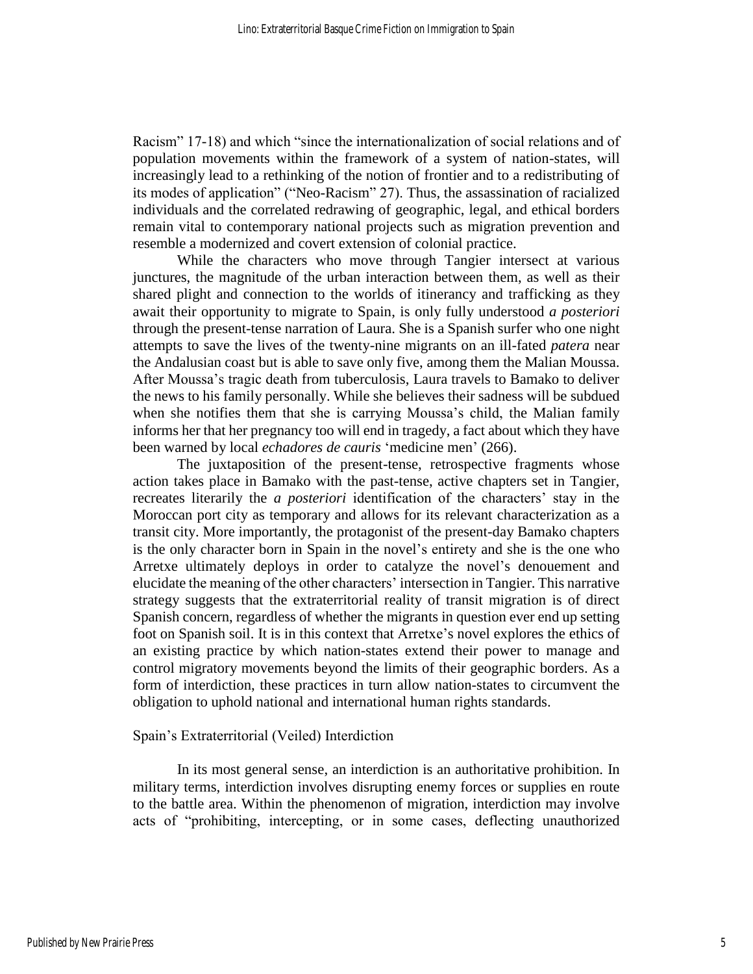Racism" 17-18) and which "since the internationalization of social relations and of population movements within the framework of a system of nation-states, will increasingly lead to a rethinking of the notion of frontier and to a redistributing of its modes of application" ("Neo-Racism" 27). Thus, the assassination of racialized individuals and the correlated redrawing of geographic, legal, and ethical borders remain vital to contemporary national projects such as migration prevention and resemble a modernized and covert extension of colonial practice.

While the characters who move through Tangier intersect at various junctures, the magnitude of the urban interaction between them, as well as their shared plight and connection to the worlds of itinerancy and trafficking as they await their opportunity to migrate to Spain, is only fully understood *a posteriori* through the present-tense narration of Laura. She is a Spanish surfer who one night attempts to save the lives of the twenty-nine migrants on an ill-fated *patera* near the Andalusian coast but is able to save only five, among them the Malian Moussa. After Moussa's tragic death from tuberculosis, Laura travels to Bamako to deliver the news to his family personally. While she believes their sadness will be subdued when she notifies them that she is carrying Moussa's child, the Malian family informs her that her pregnancy too will end in tragedy, a fact about which they have been warned by local *echadores de cauris* 'medicine men' (266).

The juxtaposition of the present-tense, retrospective fragments whose action takes place in Bamako with the past-tense, active chapters set in Tangier, recreates literarily the *a posteriori* identification of the characters' stay in the Moroccan port city as temporary and allows for its relevant characterization as a transit city. More importantly, the protagonist of the present-day Bamako chapters is the only character born in Spain in the novel's entirety and she is the one who Arretxe ultimately deploys in order to catalyze the novel's denouement and elucidate the meaning of the other characters' intersection in Tangier. This narrative strategy suggests that the extraterritorial reality of transit migration is of direct Spanish concern, regardless of whether the migrants in question ever end up setting foot on Spanish soil. It is in this context that Arretxe's novel explores the ethics of an existing practice by which nation-states extend their power to manage and control migratory movements beyond the limits of their geographic borders. As a form of interdiction, these practices in turn allow nation-states to circumvent the obligation to uphold national and international human rights standards.

#### Spain's Extraterritorial (Veiled) Interdiction

In its most general sense, an interdiction is an authoritative prohibition. In military terms, interdiction involves disrupting enemy forces or supplies en route to the battle area. Within the phenomenon of migration, interdiction may involve acts of "prohibiting, intercepting, or in some cases, deflecting unauthorized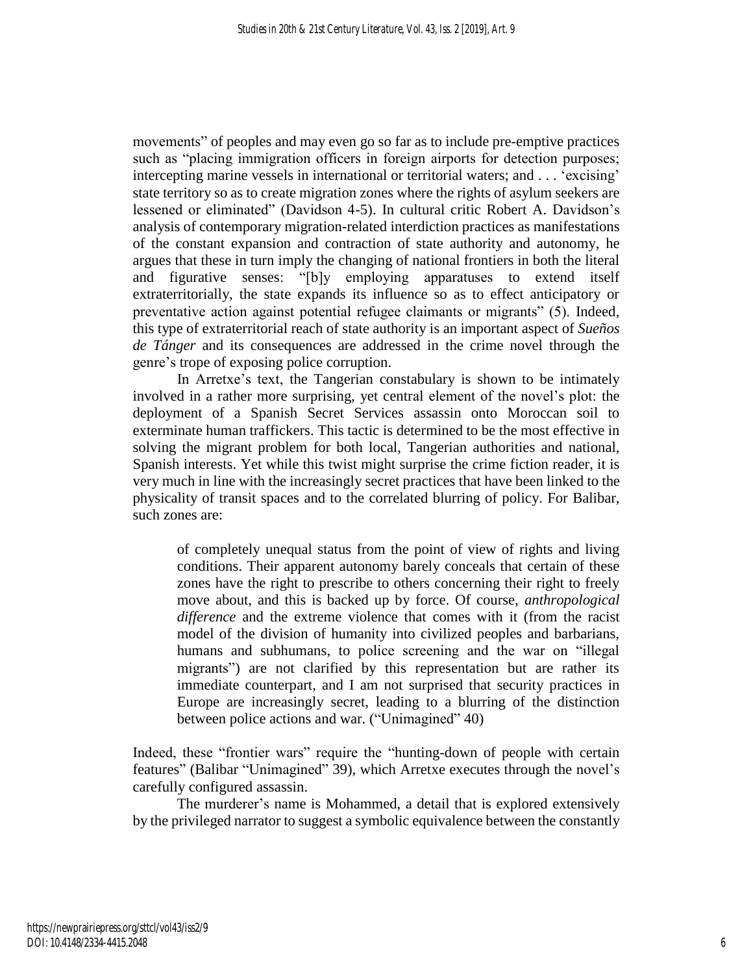movements" of peoples and may even go so far as to include pre-emptive practices such as "placing immigration officers in foreign airports for detection purposes; intercepting marine vessels in international or territorial waters; and . . . 'excising' state territory so as to create migration zones where the rights of asylum seekers are lessened or eliminated" (Davidson 4-5). In cultural critic Robert A. Davidson's analysis of contemporary migration-related interdiction practices as manifestations of the constant expansion and contraction of state authority and autonomy, he argues that these in turn imply the changing of national frontiers in both the literal and figurative senses: "[b]y employing apparatuses to extend itself extraterritorially, the state expands its influence so as to effect anticipatory or preventative action against potential refugee claimants or migrants" (5). Indeed, this type of extraterritorial reach of state authority is an important aspect of *Sueños de Tánger* and its consequences are addressed in the crime novel through the genre's trope of exposing police corruption.

In Arretxe's text, the Tangerian constabulary is shown to be intimately involved in a rather more surprising, yet central element of the novel's plot: the deployment of a Spanish Secret Services assassin onto Moroccan soil to exterminate human traffickers. This tactic is determined to be the most effective in solving the migrant problem for both local, Tangerian authorities and national, Spanish interests. Yet while this twist might surprise the crime fiction reader, it is very much in line with the increasingly secret practices that have been linked to the physicality of transit spaces and to the correlated blurring of policy. For Balibar, such zones are:

of completely unequal status from the point of view of rights and living conditions. Their apparent autonomy barely conceals that certain of these zones have the right to prescribe to others concerning their right to freely move about, and this is backed up by force. Of course, *anthropological difference* and the extreme violence that comes with it (from the racist model of the division of humanity into civilized peoples and barbarians, humans and subhumans, to police screening and the war on "illegal migrants") are not clarified by this representation but are rather its immediate counterpart, and I am not surprised that security practices in Europe are increasingly secret, leading to a blurring of the distinction between police actions and war. ("Unimagined" 40)

Indeed, these "frontier wars" require the "hunting-down of people with certain features" (Balibar "Unimagined" 39), which Arretxe executes through the novel's carefully configured assassin.

The murderer's name is Mohammed, a detail that is explored extensively by the privileged narrator to suggest a symbolic equivalence between the constantly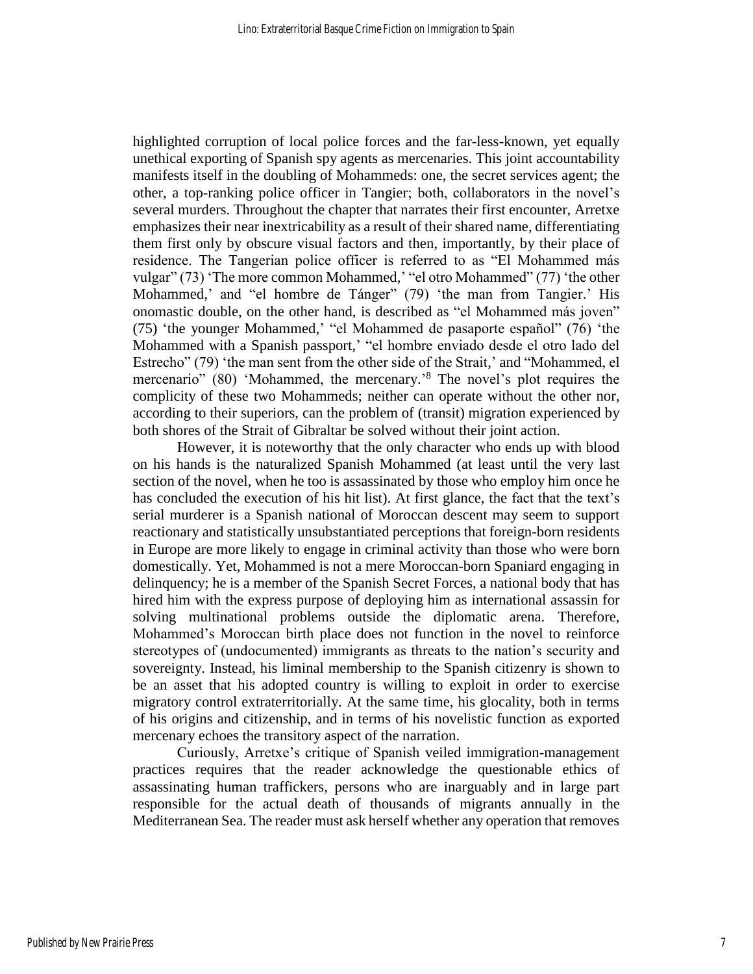highlighted corruption of local police forces and the far-less-known, yet equally unethical exporting of Spanish spy agents as mercenaries. This joint accountability manifests itself in the doubling of Mohammeds: one, the secret services agent; the other, a top-ranking police officer in Tangier; both, collaborators in the novel's several murders. Throughout the chapter that narrates their first encounter, Arretxe emphasizes their near inextricability as a result of their shared name, differentiating them first only by obscure visual factors and then, importantly, by their place of residence. The Tangerian police officer is referred to as "El Mohammed más vulgar" (73) 'The more common Mohammed,' "el otro Mohammed" (77) 'the other Mohammed,' and "el hombre de Tánger" (79) 'the man from Tangier.' His onomastic double, on the other hand, is described as "el Mohammed más joven" (75) 'the younger Mohammed,' "el Mohammed de pasaporte español" (76) 'the Mohammed with a Spanish passport,' "el hombre enviado desde el otro lado del Estrecho" (79) 'the man sent from the other side of the Strait,' and "Mohammed, el mercenario" (80) 'Mohammed, the mercenary.<sup>8</sup> The novel's plot requires the complicity of these two Mohammeds; neither can operate without the other nor, according to their superiors, can the problem of (transit) migration experienced by both shores of the Strait of Gibraltar be solved without their joint action.

However, it is noteworthy that the only character who ends up with blood on his hands is the naturalized Spanish Mohammed (at least until the very last section of the novel, when he too is assassinated by those who employ him once he has concluded the execution of his hit list). At first glance, the fact that the text's serial murderer is a Spanish national of Moroccan descent may seem to support reactionary and statistically unsubstantiated perceptions that foreign-born residents in Europe are more likely to engage in criminal activity than those who were born domestically. Yet, Mohammed is not a mere Moroccan-born Spaniard engaging in delinquency; he is a member of the Spanish Secret Forces, a national body that has hired him with the express purpose of deploying him as international assassin for solving multinational problems outside the diplomatic arena. Therefore, Mohammed's Moroccan birth place does not function in the novel to reinforce stereotypes of (undocumented) immigrants as threats to the nation's security and sovereignty. Instead, his liminal membership to the Spanish citizenry is shown to be an asset that his adopted country is willing to exploit in order to exercise migratory control extraterritorially. At the same time, his glocality, both in terms of his origins and citizenship, and in terms of his novelistic function as exported mercenary echoes the transitory aspect of the narration.

Curiously, Arretxe's critique of Spanish veiled immigration-management practices requires that the reader acknowledge the questionable ethics of assassinating human traffickers, persons who are inarguably and in large part responsible for the actual death of thousands of migrants annually in the Mediterranean Sea. The reader must ask herself whether any operation that removes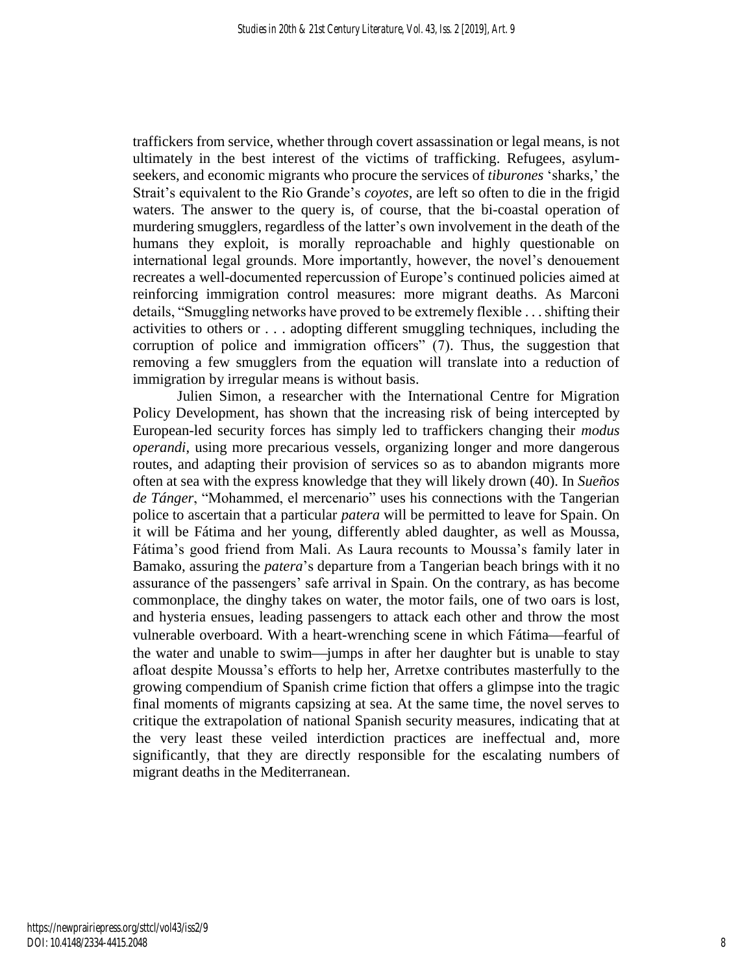traffickers from service, whether through covert assassination or legal means, is not ultimately in the best interest of the victims of trafficking. Refugees, asylumseekers, and economic migrants who procure the services of *tiburones* 'sharks,' the Strait's equivalent to the Rio Grande's *coyotes*, are left so often to die in the frigid waters. The answer to the query is, of course, that the bi-coastal operation of murdering smugglers, regardless of the latter's own involvement in the death of the humans they exploit, is morally reproachable and highly questionable on international legal grounds. More importantly, however, the novel's denouement recreates a well-documented repercussion of Europe's continued policies aimed at reinforcing immigration control measures: more migrant deaths. As Marconi details, "Smuggling networks have proved to be extremely flexible . . . shifting their activities to others or . . . adopting different smuggling techniques, including the corruption of police and immigration officers" (7). Thus, the suggestion that removing a few smugglers from the equation will translate into a reduction of immigration by irregular means is without basis.

Julien Simon, a researcher with the International Centre for Migration Policy Development, has shown that the increasing risk of being intercepted by European-led security forces has simply led to traffickers changing their *modus operandi*, using more precarious vessels, organizing longer and more dangerous routes, and adapting their provision of services so as to abandon migrants more often at sea with the express knowledge that they will likely drown (40). In *Sueños de Tánger*, "Mohammed, el mercenario" uses his connections with the Tangerian police to ascertain that a particular *patera* will be permitted to leave for Spain. On it will be Fátima and her young, differently abled daughter, as well as Moussa, Fátima's good friend from Mali. As Laura recounts to Moussa's family later in Bamako, assuring the *patera*'s departure from a Tangerian beach brings with it no assurance of the passengers' safe arrival in Spain. On the contrary, as has become commonplace, the dinghy takes on water, the motor fails, one of two oars is lost, and hysteria ensues, leading passengers to attack each other and throw the most vulnerable overboard. With a heart-wrenching scene in which Fátima—fearful of the water and unable to swim—jumps in after her daughter but is unable to stay afloat despite Moussa's efforts to help her, Arretxe contributes masterfully to the growing compendium of Spanish crime fiction that offers a glimpse into the tragic final moments of migrants capsizing at sea. At the same time, the novel serves to critique the extrapolation of national Spanish security measures, indicating that at the very least these veiled interdiction practices are ineffectual and, more significantly, that they are directly responsible for the escalating numbers of migrant deaths in the Mediterranean.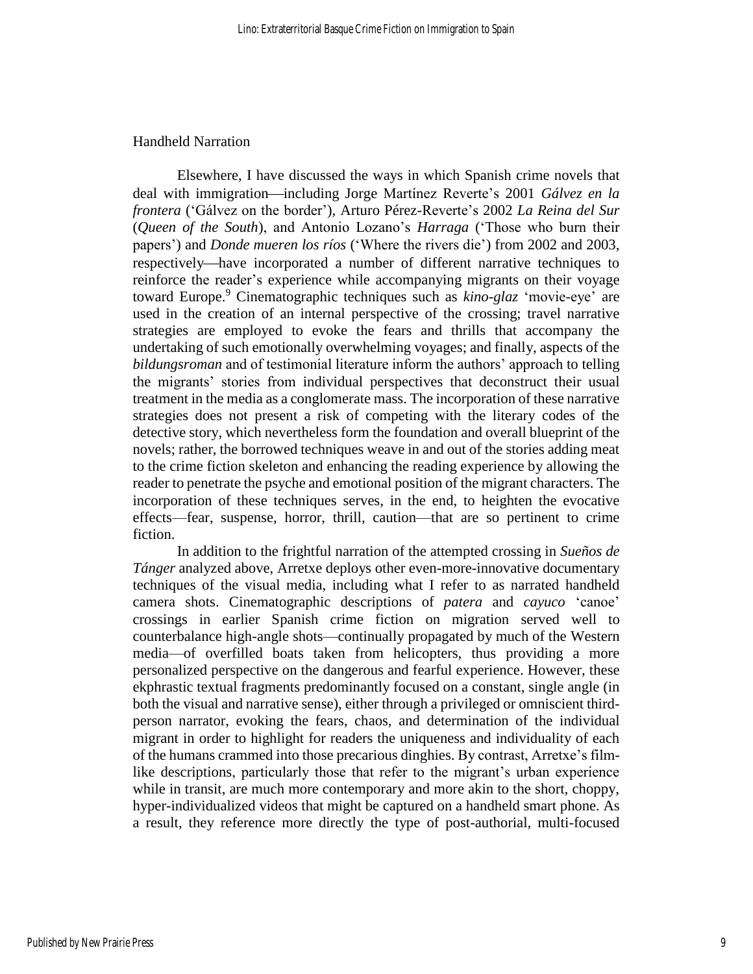#### Handheld Narration

Elsewhere, I have discussed the ways in which Spanish crime novels that deal with immigration—including Jorge Martínez Reverte's 2001 *Gálvez en la frontera* ('Gálvez on the border'), Arturo Pérez-Reverte's 2002 *La Reina del Sur* (*Queen of the South*), and Antonio Lozano's *Harraga* ('Those who burn their papers') and *Donde mueren los ríos* ('Where the rivers die') from 2002 and 2003, respectively—have incorporated a number of different narrative techniques to reinforce the reader's experience while accompanying migrants on their voyage toward Europe. <sup>9</sup> Cinematographic techniques such as *kino-glaz* 'movie-eye' are used in the creation of an internal perspective of the crossing; travel narrative strategies are employed to evoke the fears and thrills that accompany the undertaking of such emotionally overwhelming voyages; and finally, aspects of the *bildungsroman* and of testimonial literature inform the authors' approach to telling the migrants' stories from individual perspectives that deconstruct their usual treatment in the media as a conglomerate mass. The incorporation of these narrative strategies does not present a risk of competing with the literary codes of the detective story, which nevertheless form the foundation and overall blueprint of the novels; rather, the borrowed techniques weave in and out of the stories adding meat to the crime fiction skeleton and enhancing the reading experience by allowing the reader to penetrate the psyche and emotional position of the migrant characters. The incorporation of these techniques serves, in the end, to heighten the evocative effects––fear, suspense, horror, thrill, caution––that are so pertinent to crime fiction.

In addition to the frightful narration of the attempted crossing in *Sueños de Tánger* analyzed above, Arretxe deploys other even-more-innovative documentary techniques of the visual media, including what I refer to as narrated handheld camera shots. Cinematographic descriptions of *patera* and *cayuco* 'canoe' crossings in earlier Spanish crime fiction on migration served well to counterbalance high-angle shots—continually propagated by much of the Western media—of overfilled boats taken from helicopters, thus providing a more personalized perspective on the dangerous and fearful experience. However, these ekphrastic textual fragments predominantly focused on a constant, single angle (in both the visual and narrative sense), either through a privileged or omniscient thirdperson narrator, evoking the fears, chaos, and determination of the individual migrant in order to highlight for readers the uniqueness and individuality of each of the humans crammed into those precarious dinghies. By contrast, Arretxe's filmlike descriptions, particularly those that refer to the migrant's urban experience while in transit, are much more contemporary and more akin to the short, choppy, hyper-individualized videos that might be captured on a handheld smart phone. As a result, they reference more directly the type of post-authorial, multi-focused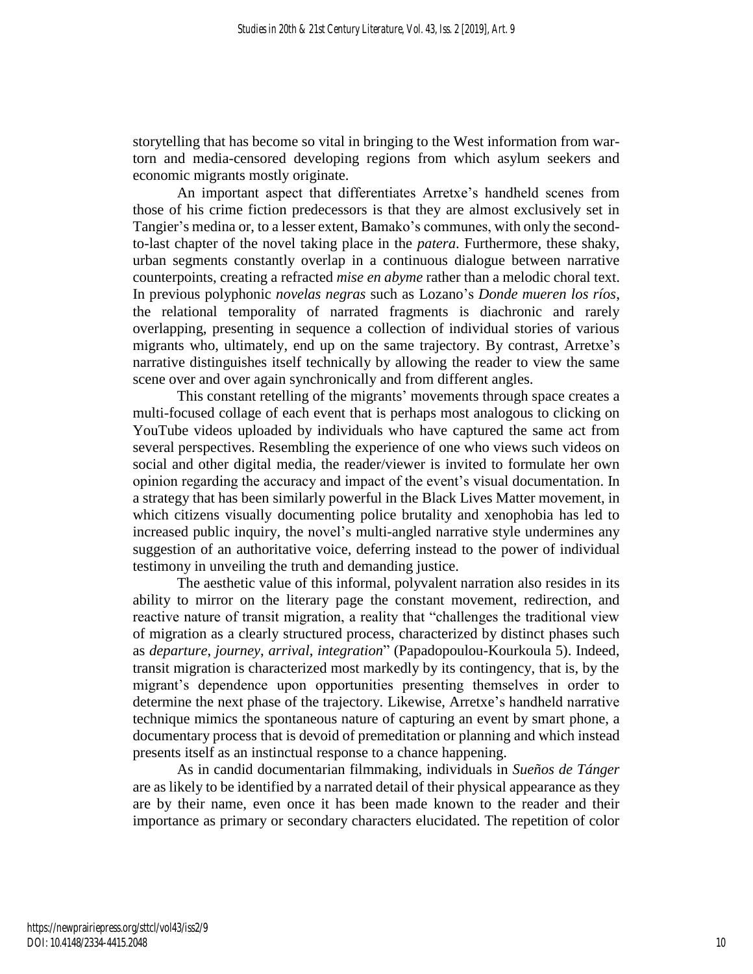storytelling that has become so vital in bringing to the West information from wartorn and media-censored developing regions from which asylum seekers and economic migrants mostly originate.

An important aspect that differentiates Arretxe's handheld scenes from those of his crime fiction predecessors is that they are almost exclusively set in Tangier's medina or, to a lesser extent, Bamako's communes, with only the secondto-last chapter of the novel taking place in the *patera*. Furthermore, these shaky, urban segments constantly overlap in a continuous dialogue between narrative counterpoints, creating a refracted *mise en abyme* rather than a melodic choral text. In previous polyphonic *novelas negras* such as Lozano's *Donde mueren los ríos*, the relational temporality of narrated fragments is diachronic and rarely overlapping, presenting in sequence a collection of individual stories of various migrants who, ultimately, end up on the same trajectory. By contrast, Arretxe's narrative distinguishes itself technically by allowing the reader to view the same scene over and over again synchronically and from different angles.

This constant retelling of the migrants' movements through space creates a multi-focused collage of each event that is perhaps most analogous to clicking on YouTube videos uploaded by individuals who have captured the same act from several perspectives. Resembling the experience of one who views such videos on social and other digital media, the reader/viewer is invited to formulate her own opinion regarding the accuracy and impact of the event's visual documentation. In a strategy that has been similarly powerful in the Black Lives Matter movement, in which citizens visually documenting police brutality and xenophobia has led to increased public inquiry, the novel's multi-angled narrative style undermines any suggestion of an authoritative voice, deferring instead to the power of individual testimony in unveiling the truth and demanding justice.

The aesthetic value of this informal, polyvalent narration also resides in its ability to mirror on the literary page the constant movement, redirection, and reactive nature of transit migration, a reality that "challenges the traditional view of migration as a clearly structured process, characterized by distinct phases such as *departure*, *journey*, *arrival*, *integration*" (Papadopoulou-Kourkoula 5). Indeed, transit migration is characterized most markedly by its contingency, that is, by the migrant's dependence upon opportunities presenting themselves in order to determine the next phase of the trajectory. Likewise, Arretxe's handheld narrative technique mimics the spontaneous nature of capturing an event by smart phone, a documentary process that is devoid of premeditation or planning and which instead presents itself as an instinctual response to a chance happening.

As in candid documentarian filmmaking, individuals in *Sueños de Tánger* are as likely to be identified by a narrated detail of their physical appearance as they are by their name, even once it has been made known to the reader and their importance as primary or secondary characters elucidated. The repetition of color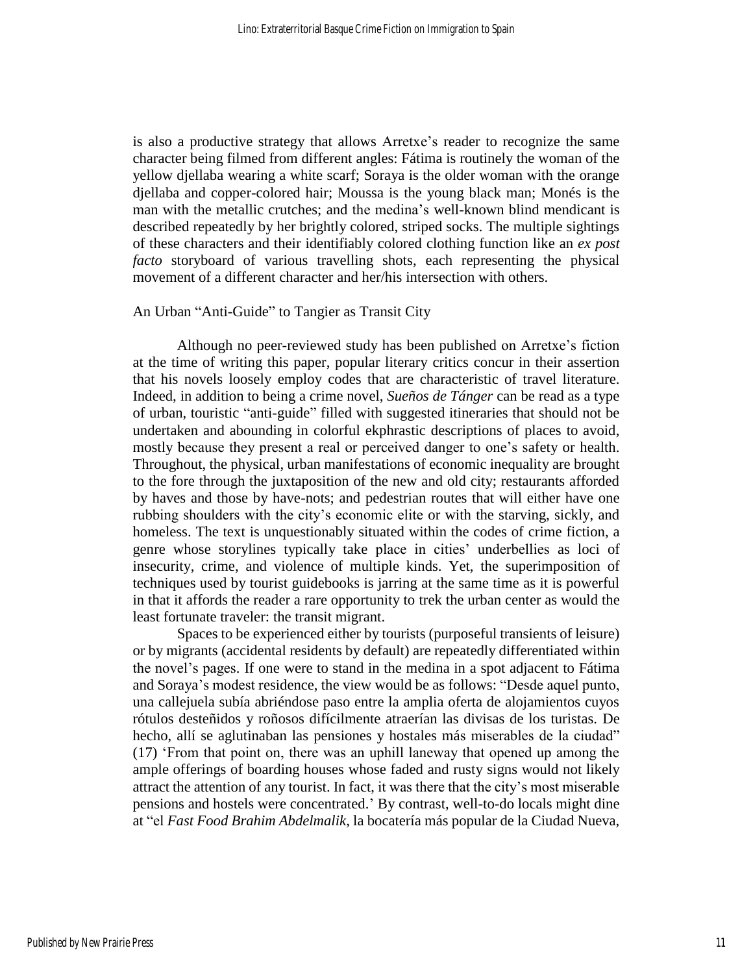is also a productive strategy that allows Arretxe's reader to recognize the same character being filmed from different angles: Fátima is routinely the woman of the yellow djellaba wearing a white scarf; Soraya is the older woman with the orange djellaba and copper-colored hair; Moussa is the young black man; Monés is the man with the metallic crutches; and the medina's well-known blind mendicant is described repeatedly by her brightly colored, striped socks. The multiple sightings of these characters and their identifiably colored clothing function like an *ex post facto* storyboard of various travelling shots, each representing the physical movement of a different character and her/his intersection with others.

## An Urban "Anti-Guide" to Tangier as Transit City

Although no peer-reviewed study has been published on Arretxe's fiction at the time of writing this paper, popular literary critics concur in their assertion that his novels loosely employ codes that are characteristic of travel literature. Indeed, in addition to being a crime novel, *Sueños de Tánger* can be read as a type of urban, touristic "anti-guide" filled with suggested itineraries that should not be undertaken and abounding in colorful ekphrastic descriptions of places to avoid, mostly because they present a real or perceived danger to one's safety or health. Throughout, the physical, urban manifestations of economic inequality are brought to the fore through the juxtaposition of the new and old city; restaurants afforded by haves and those by have-nots; and pedestrian routes that will either have one rubbing shoulders with the city's economic elite or with the starving, sickly, and homeless. The text is unquestionably situated within the codes of crime fiction, a genre whose storylines typically take place in cities' underbellies as loci of insecurity, crime, and violence of multiple kinds. Yet, the superimposition of techniques used by tourist guidebooks is jarring at the same time as it is powerful in that it affords the reader a rare opportunity to trek the urban center as would the least fortunate traveler: the transit migrant.

Spaces to be experienced either by tourists (purposeful transients of leisure) or by migrants (accidental residents by default) are repeatedly differentiated within the novel's pages. If one were to stand in the medina in a spot adjacent to Fátima and Soraya's modest residence, the view would be as follows: "Desde aquel punto, una callejuela subía abriéndose paso entre la amplia oferta de alojamientos cuyos rótulos desteñidos y roñosos difícilmente atraerían las divisas de los turistas. De hecho, allí se aglutinaban las pensiones y hostales más miserables de la ciudad" (17) 'From that point on, there was an uphill laneway that opened up among the ample offerings of boarding houses whose faded and rusty signs would not likely attract the attention of any tourist. In fact, it was there that the city's most miserable pensions and hostels were concentrated.' By contrast, well-to-do locals might dine at "el *Fast Food Brahim Abdelmalik*, la bocatería más popular de la Ciudad Nueva,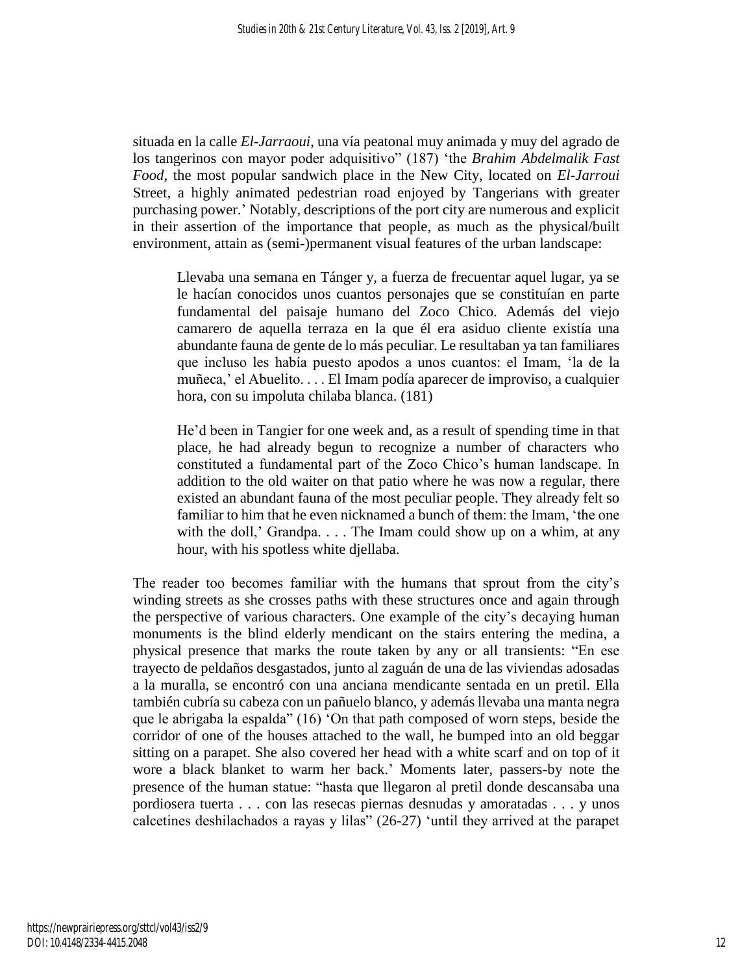situada en la calle *El-Jarraoui*, una vía peatonal muy animada y muy del agrado de los tangerinos con mayor poder adquisitivo" (187) 'the *Brahim Abdelmalik Fast Food*, the most popular sandwich place in the New City, located on *El-Jarroui* Street, a highly animated pedestrian road enjoyed by Tangerians with greater purchasing power.' Notably, descriptions of the port city are numerous and explicit in their assertion of the importance that people, as much as the physical/built environment, attain as (semi-)permanent visual features of the urban landscape:

Llevaba una semana en Tánger y, a fuerza de frecuentar aquel lugar, ya se le hacían conocidos unos cuantos personajes que se constituían en parte fundamental del paisaje humano del Zoco Chico. Además del viejo camarero de aquella terraza en la que él era asiduo cliente existía una abundante fauna de gente de lo más peculiar. Le resultaban ya tan familiares que incluso les había puesto apodos a unos cuantos: el Imam, 'la de la muñeca,' el Abuelito. . . . El Imam podía aparecer de improviso, a cualquier hora, con su impoluta chilaba blanca. (181)

He'd been in Tangier for one week and, as a result of spending time in that place, he had already begun to recognize a number of characters who constituted a fundamental part of the Zoco Chico's human landscape. In addition to the old waiter on that patio where he was now a regular, there existed an abundant fauna of the most peculiar people. They already felt so familiar to him that he even nicknamed a bunch of them: the Imam, 'the one with the doll,' Grandpa. . . . The Imam could show up on a whim, at any hour, with his spotless white djellaba.

The reader too becomes familiar with the humans that sprout from the city's winding streets as she crosses paths with these structures once and again through the perspective of various characters. One example of the city's decaying human monuments is the blind elderly mendicant on the stairs entering the medina, a physical presence that marks the route taken by any or all transients: "En ese trayecto de peldaños desgastados, junto al zaguán de una de las viviendas adosadas a la muralla, se encontró con una anciana mendicante sentada en un pretil. Ella también cubría su cabeza con un pañuelo blanco, y además llevaba una manta negra que le abrigaba la espalda" (16) 'On that path composed of worn steps, beside the corridor of one of the houses attached to the wall, he bumped into an old beggar sitting on a parapet. She also covered her head with a white scarf and on top of it wore a black blanket to warm her back.' Moments later, passers-by note the presence of the human statue: "hasta que llegaron al pretil donde descansaba una pordiosera tuerta . . . con las resecas piernas desnudas y amoratadas . . . y unos calcetines deshilachados a rayas y lilas" (26-27) 'until they arrived at the parapet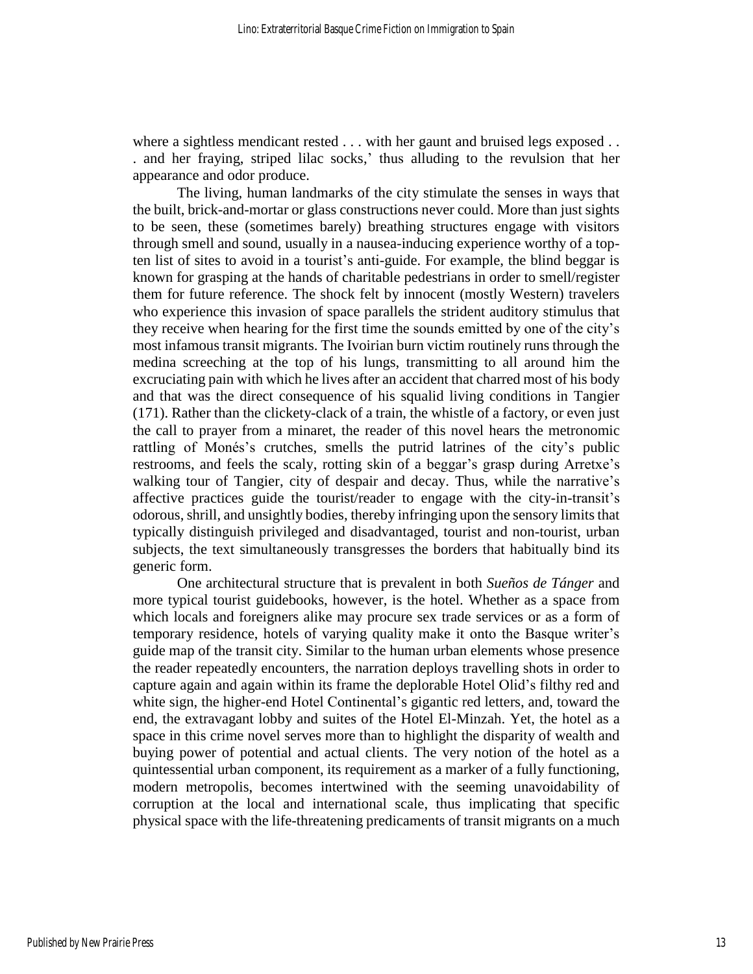where a sightless mendicant rested . . . with her gaunt and bruised legs exposed . . . and her fraying, striped lilac socks,' thus alluding to the revulsion that her appearance and odor produce.

The living, human landmarks of the city stimulate the senses in ways that the built, brick-and-mortar or glass constructions never could. More than just sights to be seen, these (sometimes barely) breathing structures engage with visitors through smell and sound, usually in a nausea-inducing experience worthy of a topten list of sites to avoid in a tourist's anti-guide. For example, the blind beggar is known for grasping at the hands of charitable pedestrians in order to smell/register them for future reference. The shock felt by innocent (mostly Western) travelers who experience this invasion of space parallels the strident auditory stimulus that they receive when hearing for the first time the sounds emitted by one of the city's most infamous transit migrants. The Ivoirian burn victim routinely runs through the medina screeching at the top of his lungs, transmitting to all around him the excruciating pain with which he lives after an accident that charred most of his body and that was the direct consequence of his squalid living conditions in Tangier (171). Rather than the clickety-clack of a train, the whistle of a factory, or even just the call to prayer from a minaret, the reader of this novel hears the metronomic rattling of Monés's crutches, smells the putrid latrines of the city's public restrooms, and feels the scaly, rotting skin of a beggar's grasp during Arretxe's walking tour of Tangier, city of despair and decay. Thus, while the narrative's affective practices guide the tourist/reader to engage with the city-in-transit's odorous, shrill, and unsightly bodies, thereby infringing upon the sensory limits that typically distinguish privileged and disadvantaged, tourist and non-tourist, urban subjects, the text simultaneously transgresses the borders that habitually bind its generic form.

One architectural structure that is prevalent in both *Sueños de Tánger* and more typical tourist guidebooks, however, is the hotel. Whether as a space from which locals and foreigners alike may procure sex trade services or as a form of temporary residence, hotels of varying quality make it onto the Basque writer's guide map of the transit city. Similar to the human urban elements whose presence the reader repeatedly encounters, the narration deploys travelling shots in order to capture again and again within its frame the deplorable Hotel Olid's filthy red and white sign, the higher-end Hotel Continental's gigantic red letters, and, toward the end, the extravagant lobby and suites of the Hotel El-Minzah. Yet, the hotel as a space in this crime novel serves more than to highlight the disparity of wealth and buying power of potential and actual clients. The very notion of the hotel as a quintessential urban component, its requirement as a marker of a fully functioning, modern metropolis, becomes intertwined with the seeming unavoidability of corruption at the local and international scale, thus implicating that specific physical space with the life-threatening predicaments of transit migrants on a much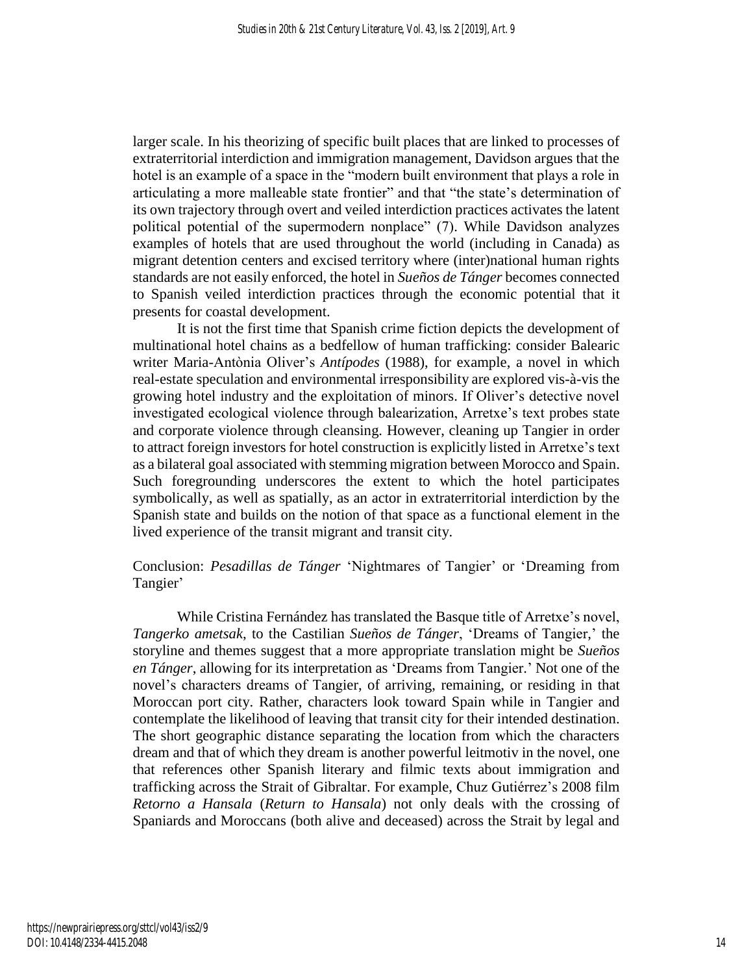larger scale. In his theorizing of specific built places that are linked to processes of extraterritorial interdiction and immigration management, Davidson argues that the hotel is an example of a space in the "modern built environment that plays a role in articulating a more malleable state frontier" and that "the state's determination of its own trajectory through overt and veiled interdiction practices activates the latent political potential of the supermodern nonplace" (7). While Davidson analyzes examples of hotels that are used throughout the world (including in Canada) as migrant detention centers and excised territory where (inter)national human rights standards are not easily enforced, the hotel in *Sueños de Tánger* becomes connected to Spanish veiled interdiction practices through the economic potential that it presents for coastal development.

It is not the first time that Spanish crime fiction depicts the development of multinational hotel chains as a bedfellow of human trafficking: consider Balearic writer Maria-Antònia Oliver's *Antípodes* (1988), for example, a novel in which real-estate speculation and environmental irresponsibility are explored vis-à-vis the growing hotel industry and the exploitation of minors. If Oliver's detective novel investigated ecological violence through balearization, Arretxe's text probes state and corporate violence through cleansing. However, cleaning up Tangier in order to attract foreign investors for hotel construction is explicitly listed in Arretxe's text as a bilateral goal associated with stemming migration between Morocco and Spain. Such foregrounding underscores the extent to which the hotel participates symbolically, as well as spatially, as an actor in extraterritorial interdiction by the Spanish state and builds on the notion of that space as a functional element in the lived experience of the transit migrant and transit city.

# Conclusion: *Pesadillas de Tánger* 'Nightmares of Tangier' or 'Dreaming from Tangier'

While Cristina Fernández has translated the Basque title of Arretxe's novel, *Tangerko ametsak*, to the Castilian *Sueños de Tánger*, 'Dreams of Tangier,' the storyline and themes suggest that a more appropriate translation might be *Sueños en Tánger*, allowing for its interpretation as 'Dreams from Tangier.' Not one of the novel's characters dreams of Tangier, of arriving, remaining, or residing in that Moroccan port city. Rather, characters look toward Spain while in Tangier and contemplate the likelihood of leaving that transit city for their intended destination. The short geographic distance separating the location from which the characters dream and that of which they dream is another powerful leitmotiv in the novel, one that references other Spanish literary and filmic texts about immigration and trafficking across the Strait of Gibraltar. For example, Chuz Gutiérrez's 2008 film *Retorno a Hansala* (*Return to Hansala*) not only deals with the crossing of Spaniards and Moroccans (both alive and deceased) across the Strait by legal and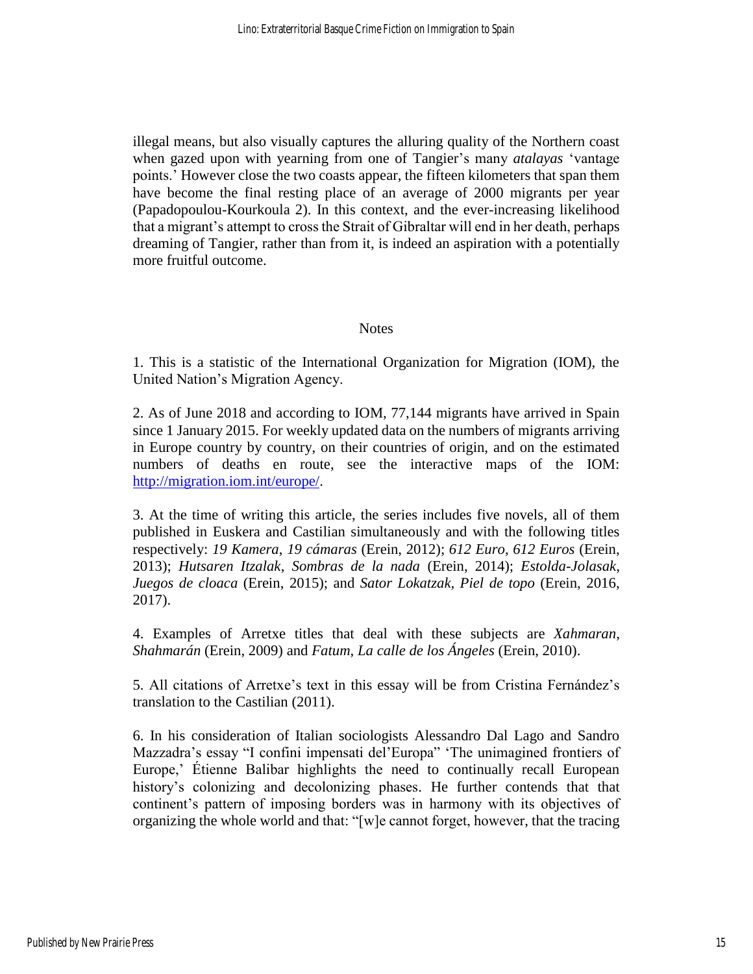illegal means, but also visually captures the alluring quality of the Northern coast when gazed upon with yearning from one of Tangier's many *atalayas* 'vantage points.' However close the two coasts appear, the fifteen kilometers that span them have become the final resting place of an average of 2000 migrants per year (Papadopoulou-Kourkoula 2). In this context, and the ever-increasing likelihood that a migrant's attempt to cross the Strait of Gibraltar will end in her death, perhaps dreaming of Tangier, rather than from it, is indeed an aspiration with a potentially more fruitful outcome.

### **Notes**

1. This is a statistic of the International Organization for Migration (IOM), the United Nation's Migration Agency.

2. As of June 2018 and according to IOM, 77,144 migrants have arrived in Spain since 1 January 2015. For weekly updated data on the numbers of migrants arriving in Europe country by country, on their countries of origin, and on the estimated numbers of deaths en route, see the interactive maps of the IOM: [http://migration.iom.int/europe/.](http://migration.iom.int/europe/)

3. At the time of writing this article, the series includes five novels, all of them published in Euskera and Castilian simultaneously and with the following titles respectively: *19 Kamera*, *19 cámaras* (Erein, 2012); *612 Euro*, *612 Euros* (Erein, 2013); *Hutsaren Itzalak*, *Sombras de la nada* (Erein, 2014); *Estolda-Jolasak*, *Juegos de cloaca* (Erein, 2015); and *Sator Lokatzak, Piel de topo* (Erein, 2016, 2017).

4. Examples of Arretxe titles that deal with these subjects are *Xahmaran*, *Shahmarán* (Erein, 2009) and *Fatum*, *La calle de los Ángeles* (Erein, 2010).

5. All citations of Arretxe's text in this essay will be from Cristina Fernández's translation to the Castilian (2011).

6. In his consideration of Italian sociologists Alessandro Dal Lago and Sandro Mazzadra's essay "I confini impensati del'Europa" 'The unimagined frontiers of Europe,' Étienne Balibar highlights the need to continually recall European history's colonizing and decolonizing phases. He further contends that that continent's pattern of imposing borders was in harmony with its objectives of organizing the whole world and that: "[w]e cannot forget, however, that the tracing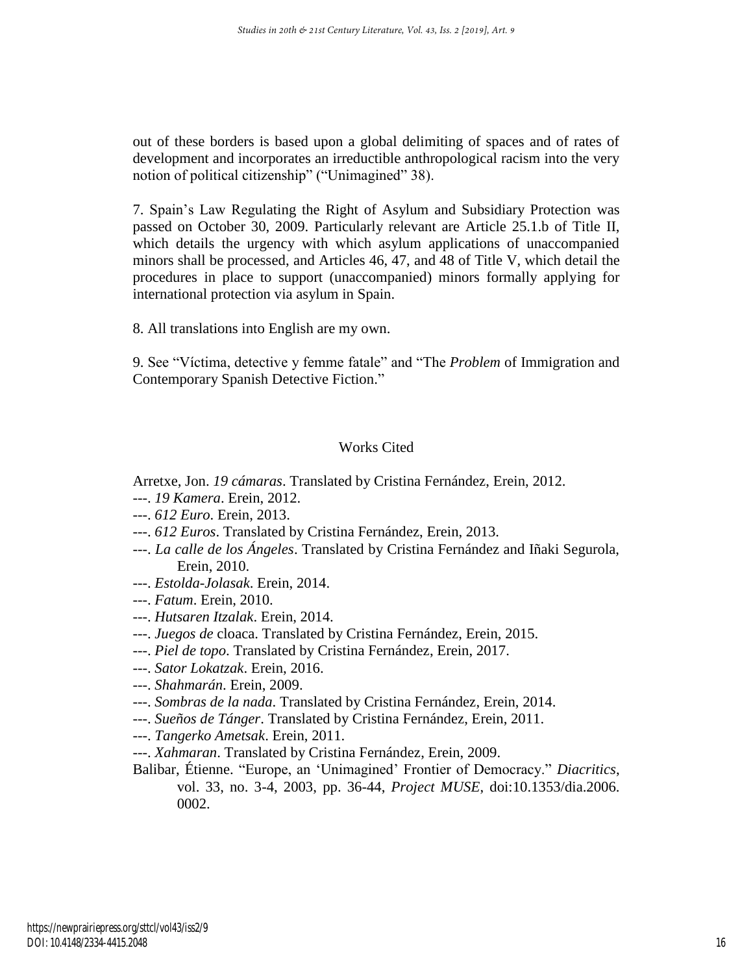out of these borders is based upon a global delimiting of spaces and of rates of development and incorporates an irreductible anthropological racism into the very notion of political citizenship" ("Unimagined" 38).

7. Spain's Law Regulating the Right of Asylum and Subsidiary Protection was passed on October 30, 2009. Particularly relevant are Article 25.1.b of Title II, which details the urgency with which asylum applications of unaccompanied minors shall be processed, and Articles 46, 47, and 48 of Title V, which detail the procedures in place to support (unaccompanied) minors formally applying for international protection via asylum in Spain.

8. All translations into English are my own.

9. See "Víctima, detective y femme fatale" and "The *Problem* of Immigration and Contemporary Spanish Detective Fiction."

## Works Cited

Arretxe, Jon. *19 cámaras*. Translated by Cristina Fernández, Erein, 2012.

- ---. *19 Kamera*. Erein, 2012.
- ---. *612 Euro*. Erein, 2013.
- ---. *612 Euros*. Translated by Cristina Fernández, Erein, 2013.
- ---. *La calle de los Ángeles*. Translated by Cristina Fernández and Iñaki Segurola, Erein, 2010.
- ---. *Estolda-Jolasak*. Erein, 2014.
- ---. *Fatum*. Erein, 2010.
- ---. *Hutsaren Itzalak*. Erein, 2014.
- ---. *Juegos de* cloaca. Translated by Cristina Fernández, Erein, 2015.
- ---. *Piel de topo*. Translated by Cristina Fernández, Erein, 2017.
- ---. *Sator Lokatzak*. Erein, 2016.
- ---. *Shahmarán*. Erein, 2009.
- ---. *Sombras de la nada*. Translated by Cristina Fernández, Erein, 2014.
- ---. *Sueños de Tánger*. Translated by Cristina Fernández, Erein, 2011.
- ---. *Tangerko Ametsak*. Erein, 2011.
- ---. *Xahmaran*. Translated by Cristina Fernández, Erein, 2009.
- Balibar, Étienne. "Europe, an 'Unimagined' Frontier of Democracy." *Diacritics*, vol. 33, no. 3-4, 2003, pp. 36-44, *Project MUSE*, doi:10.1353/dia.2006. 0002.